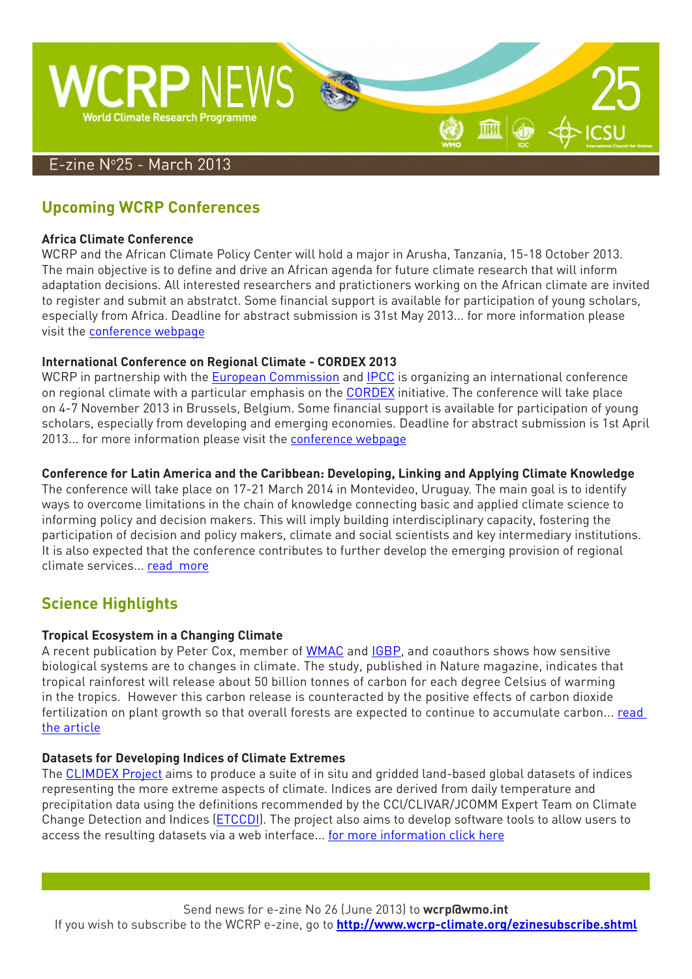

# **Upcoming WCRP Conferences**

#### **Africa Climate Conference**

WCRP and the African Climate Policy Center will hold a major in Arusha, Tanzania, 15-18 October 2013. The main objective is to define and drive an African agenda for future climate research that will inform adaptation decisions. All interested researchers and pratictioners working on the African climate are invited to register and submit an abstratct. Some financial support is available for participation of young scholars, especially from Africa. Deadline for abstract submission is 31st May 2013... for more information please visit the [conference webpage](http://www.climdev-africa.org/acc2013)

#### **International Conference on Regional Climate - CORDEX 2013**

WCRP in partnership with the [European Commission](http://ec.europa.eu/index_en.htm) and [IPCC](http://www.ipcc.ch/) is organizing an international conference on regional climate with a particular emphasis on the [CORDEX](http://wcrp-cordex.ipsl.jussieu.fr/) initiative. The conference will take place on 4-7 November 2013 in Brussels, Belgium. Some financial support is available for participation of young scholars, especially from developing and emerging economies. Deadline for abstract submission is 1st April 2013... for more information please visit the [conference webpage](http://cordex2013.wcrp-climate.org/index.shtml)

#### **Conference for Latin America and the Caribbean: Developing, Linking and Applying Climate Knowledge**

The conference will take place on 17-21 March 2014 in Montevideo, Uruguay. The main goal is to identify ways to overcome limitations in the chain of knowledge connecting basic and applied climate science to informing policy and decision makers. This will imply building interdisciplinary capacity, fostering the participation of decision and policy makers, climate and social scientists and key intermediary institutions. It is also expected that the conference contributes to further develop the emerging provision of regional climate services... [read](http://www.clivar.org/resources/news/latin-america-and-caribbean-conferece) m[ore](http://www.clivar.org/resources/news/latin-america-and-caribbean-conferece)

## **Science Highlights**

#### **Tropical Ecosystem in a Changing Climate**

A recent publication by Peter Cox, member of [WMAC](http://www.wcrp-climate.org/WMAC.shtml) and [IGBP,](http://www.igbp.net/) and coauthors shows how sensitive biological systems are to changes in climate. The study, published in Nature magazine, indicates that tropical rainforest will release about 50 billion tonnes of carbon for each degree Celsius of warming in the tropics. However this carbon release is counteracted by the positive effects of carbon dioxide fertilization on plant growth so that overall forests are expected to continue to accumulate carbon... [read](http://www.nature.com/nature/journal/v494/n7437/full/nature11882.html)  [the article](http://www.nature.com/nature/journal/v494/n7437/full/nature11882.html)

#### **Datasets for Developing Indices of Climate Extremes**

The [CLIMDEX Project](http://www.climdex.org/) aims to produce a suite of in situ and gridded land-based global datasets of indices representing the more extreme aspects of climate. Indices are derived from daily temperature and precipitation data using the definitions recommended by the CCl/CLIVAR/JCOMM Expert Team on Climate Change Detection and Indices [\(ETCCDI](http://www.clivar.org/organization/etccdi/etccdi.php)). The project also aims to develop software tools to allow users to access the resulting datasets via a web interface... [for more information click here](http://www.climdex.org/index.html)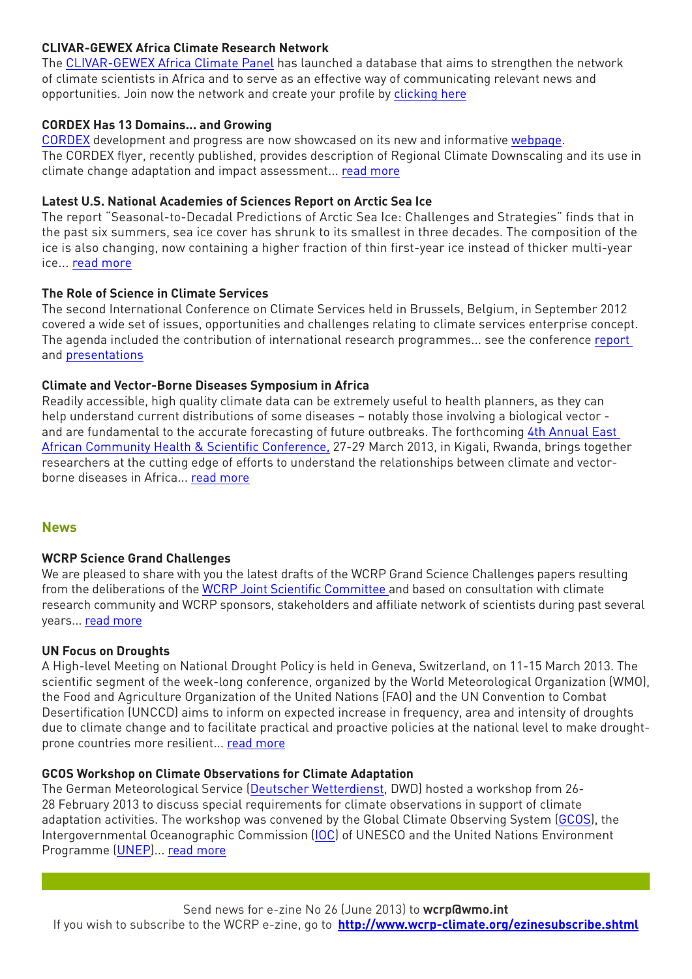#### **CLIVAR-GEWEX Africa Climate Research Network**

The [CLIVAR-GEWEX Africa Climate Panel](http://www.clivar.org/organization/africa) has launched a database that aims to strengthen the network of climate scientists in Africa and to serve as an effective way of communicating relevant news and opportunities. Join now the network and create your profile by [clicking here](http://www.clivar.org/africa/network-search-tool)

#### **CORDEX Has 13 Domains... and Growing**

[CORDEX](http://wcrp-cordex.ipsl.jussieu.fr/) development and progress are now showcased on its new and informative [webpage](http://wcrp-cordex.ipsl.jussieu.fr/). The CORDEX flyer, recently published, provides description of Regional Climate Downscaling and its use in climate change adaptation and impact assessment... [read more](http://wcrp-cordex.ipsl.jussieu.fr/images/pdf/flyer/cordex_flyer2012.pdf)

#### **Latest U.S. National Academies of Sciences Report on Arctic Sea Ice**

The report "Seasonal-to-Decadal Predictions of Arctic Sea Ice: Challenges and Strategies" finds that in the past six summers, sea ice cover has shrunk to its smallest in three decades. The composition of the ice is also changing, now containing a higher fraction of thin first-year ice instead of thicker multi-year ice... [read more](http://dels.nas.edu/Report/Seasonal-Decadal-Predictions-Arctic/13515)

#### **The Role of Science in Climate Services**

The second International Conference on Climate Services held in Brussels, Belgium, in September 2012 covered a wide set of issues, opportunities and challenges relating to climate services enterprise concept. The agenda included the contribution of international research programmes... see the conference [report](http://iccs2.iri.columbia.edu/results.html)  and [presentations](http://iccs2.iri.columbia.edu/results.html)

#### **Climate and Vector-Borne Diseases Symposium in Africa**

Readily accessible, high quality climate data can be extremely useful to health planners, as they can help understand current distributions of some diseases – notably those involving a biological vector and are fundamental to the accurate forecasting of future outbreaks. The forthcoming [4th Annual East](http://www.wcrp-climate.org/documents/EA_HealthScientific.pdf)  [African Community Health & Scientific Conference,](http://www.wcrp-climate.org/documents/EA_HealthScientific.pdf) 27-29 March 2013, in Kigali, Rwanda, brings together researchers at the cutting edge of efforts to understand the relationships between climate and vectorborne diseases in Africa... [read more](http://www.wcrp-climate.org/documents/EA_HealthScientific.pdf)

#### **News**

#### **WCRP Science Grand Challenges**

We are pleased to share with you the latest drafts of the WCRP Grand Science Challenges papers resulting from the deliberations of the [WCRP Joint Scientific Committee a](http://www.wcrp-climate.org/cms/index.php/about-wcrp/about-governance)nd based on consultation with climate research community and WCRP sponsors, stakeholders and affiliate network of scientists during past several years... [read more](http://www.wcrp-climate.org/cms/index.php/grand-challenges)

#### **UN Focus on Droughts**

A High-level Meeting on National Drought Policy is held in Geneva, Switzerland, on 11-15 March 2013. The scientific segment of the week-long conference, organized by the World Meteorological Organization (WMO), the Food and Agriculture Organization of the United Nations (FAO) and the UN Convention to Combat Desertification (UNCCD) aims to inform on expected increase in frequency, area and intensity of droughts due to climate change and to facilitate practical and proactive policies at the national level to make droughtprone countries more resilient... [read more](http://www.wmo.int/pages/mediacentre/news/droughtnews.html)

#### **GCOS Workshop on Climate Observations for Climate Adaptation**

The German Meteorological Service [\(Deutscher Wetterdienst](http://www.dwd.de/bvbw/appmanager/bvbw/dwdwwwDesktop?_nfpb=true&_windowLabel=dwdwww_main_book&T17500013121287044130563gsbDocumentPath=&switchLang=en&_pageLabel=dwdwww_start), DWD) hosted a workshop from 26- 28 February 2013 to discuss special requirements for climate observations in support of climate adaptation activities. The workshop was convened by the Global Climate Observing System ([GCOS](http://www.wmo.int/pages/prog/gcos/index.php)), the Intergovernmental Oceanographic Commission ([IOC](http://www.unesco.org/new/en/natural-sciences/ioc-oceans/)) of UNESCO and the United Nations Environment Programme [\(UNEP\)](http://www.unep.org/)... [read more](http://www.wmo.int/pages/mediacentre/news/index_en.html#gcos)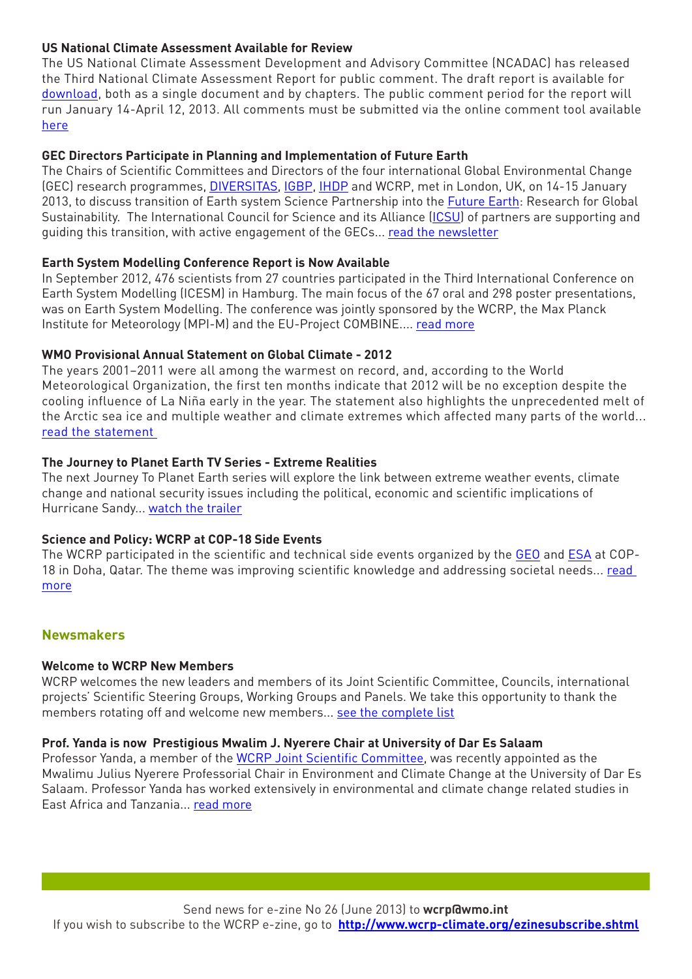#### **US National Climate Assessment Available for Review**

The US National Climate Assessment Development and Advisory Committee (NCADAC) has released the Third National Climate Assessment Report for public comment. The draft report is available for [download](http://ncadac.globalchange.gov/), both as a single document and by chapters. The public comment period for the report will run January 14-April 12, 2013. All comments must be submitted via the online comment tool available [here](http://ncadac.globalchange.gov/)

#### **GEC Directors Participate in Planning and Implementation of Future Earth**

The Chairs of Scientific Committees and Directors of the four international Global Environmental Change (GEC) research programmes, [DIVERSITAS,](http://www.diversitas-international.org/) [IGBP](http://www.igbp.net/), [IHDP](http://www.ihdp.unu.edu/) and WCRP, met in London, UK, on 14-15 January 2013, to discuss transition of Earth system Science Partnership into the [Future Earth:](http://www.icsu.org/future-earth) Research for Global Sustainability. The International Council for Science and its Alliance [\(ICSU](http://www.icsu.org/)) of partners are supporting and guiding this transition, with active engagement of the GECs... [read the newsletter](http://us5.campaign-archive2.com/?u=2e9b648776114e2888e7ea8c5&id=d8d8c28ba4)

#### **Earth System Modelling Conference Report is Now Available**

In September 2012, 476 scientists from 27 countries participated in the Third International Conference on Earth System Modelling (ICESM) in Hamburg. The main focus of the 67 oral and 298 poster presentations, was on Earth System Modelling. The conference was jointly sponsored by the WCRP, the Max Planck Institute for Meteorology (MPI-M) and the EU-Project COMBINE.... [read more](http://www.wcrp-climate.org/cms/images/documents/news/WCRPnews_07012013.pdf)

#### **WMO Provisional Annual Statement on Global Climate - 2012**

The years 2001–2011 were all among the warmest on record, and, according to the World Meteorological Organization, the first ten months indicate that 2012 will be no exception despite the cooling influence of La Niña early in the year. The statement also highlights the unprecedented melt of the Arctic sea ice and multiple weather and climate extremes which affected many parts of the world... [read the statement](http://www.wmo.int/pages/mediacentre/press_releases/documents/966_WMOstatement.pdf) 

#### **The Journey to Planet Earth TV Series - Extreme Realities**

The next Journey To Planet Earth series will explore the link between extreme weather events, climate change and national security issues including the political, economic and scientific implications of Hurricane Sandy... [watch the trailer](http://www.climate-cryosphere.org/index.php/media-gallery/mediaitem/591-extreme-realities-trailer)

#### **Science and Policy: WCRP at COP-18 Side Events**

The WCRP participated in the scientific and technical side events organized by the [GEO](http://www.earthobservations.org/index.shtml) and [ESA](http://www.esa.int/ESA) at COP-18 in Doha, Qatar. The theme was improving scientific knowledge and addressing societal needs... [read](http://www.wcrp-climate.org/cms/images/documents/reports_flyers/GEO_Nov2012_flyer.pdf)  [more](http://www.wcrp-climate.org/cms/images/documents/reports_flyers/GEO_Nov2012_flyer.pdf)

#### **Newsmakers**

#### **Welcome to WCRP New Members**

WCRP welcomes the new leaders and members of its Joint Scientific Committee, Councils, international projects' Scientific Steering Groups, Working Groups and Panels. We take this opportunity to thank the members rotating off and welcome new members... [see the complete list](http://www.wcrp-climate.org/cms/images/documents/news/WCRPnews_12012013.pdf)

#### **Prof. Yanda is now Prestigious Mwalim J. Nyerere Chair at University of Dar Es Salaam**

Professor Yanda, a member of the [WCRP Joint Scientific Committee,](http://www.wcrp-climate.org/cms/index.php/about-wcrp/about-governance) was recently appointed as the Mwalimu Julius Nyerere Professorial Chair in Environment and Climate Change at the University of Dar Es Salaam. Professor Yanda has worked extensively in environmental and climate change related studies in East Africa and Tanzania... [read more](http://nyererechairclimatechange.udsm.ac.tz/index.php/about-chair-holder)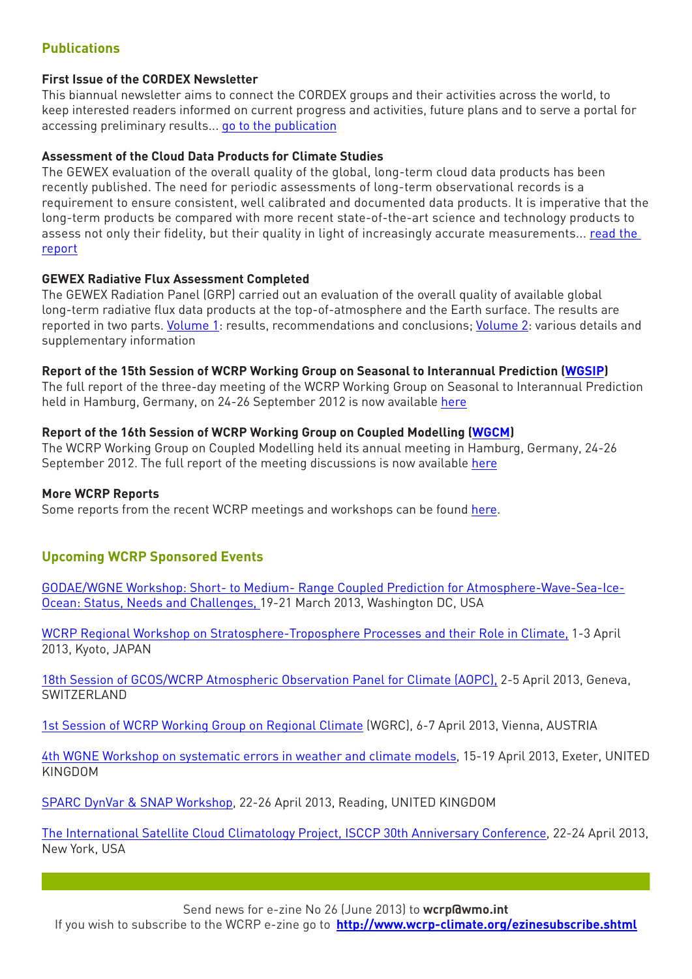### **Publications**

#### **First Issue of the CORDEX Newsletter**

This biannual newsletter aims to connect the CORDEX groups and their activities across the world, to keep interested readers informed on current progress and activities, future plans and to serve a portal for accessing preliminary results... [go to the publication](http://wcrp-cordex.ipsl.jussieu.fr/images/pdf/newsletters/newsletter1_january2013.pdf)

#### **Assessment of the Cloud Data Products for Climate Studies**

The GEWEX evaluation of the overall quality of the global, long-term cloud data products has been recently published. The need for periodic assessments of long-term observational records is a requirement to ensure consistent, well calibrated and documented data products. It is imperative that the long-term products be compared with more recent state-of-the-art science and technology products to assess not only their fidelity, but their quality in light of increasingly accurate measurements... read the [report](http://www.wcrp-climate.org/documents/GEWEX_Cloud_Assessment_2012.pdf)

#### **GEWEX Radiative Flux Assessment Completed**

The GEWEX Radiation Panel (GRP) carried out an evaluation of the overall quality of available global long-term radiative flux data products at the top-of-atmosphere and the Earth surface. The results are reported in two parts. [Volume 1:](http://www.wcrp-climate.org/documents/GEWEX%20RFA-Volume%201-report.pdf) results, recommendations and conclusions; [Volume 2:](http://www.wcrp-climate.org/documents/GEWEX%20RFA-Volume%202-appendices.pdf) various details and supplementary information

#### **Report of the 15th Session of WCRP Working Group on Seasonal to Interannual Prediction [\(WGSIP\)](http://www.wcrp-climate.org/wgsip/index.shtml)**

The full report of the three-day meeting of the WCRP Working Group on Seasonal to Interannual Prediction held in Hamburg, Germany, on 24-26 September 2012 is now available [here](http://www.wcrp-climate.org/documents/wgsip-15_report.pdf)

#### **Report of the 16th Session of WCRP Working Group on Coupled Modelling [\(WGCM\)](http://www.wcrp-climate.org/wgcm/)**

The WCRP Working Group on Coupled Modelling held its annual meeting in Hamburg, Germany, 24-26 September 2012. The full report of the meeting discussions is now available [here](http://www.wcrp-climate.org/documents/wgcm16_report.pdf)

#### **More WCRP Reports**

Some reports from the recent WCRP meetings and workshops can be found [here.](http://www.wcrp-climate.org/reports.shtml)

#### **Upcoming WCRP Sponsored Events**

[GODAE/WGNE Workshop: Short- to Medium- Range Coupled Prediction for Atmosphere-Wave-Sea-Ice-](https://www.godae-oceanview.org/outreach/meetings-workshops/coupled-prediction-workshop-gov-wgne-2013/)[Ocean: Status, Needs and Challenges, 1](https://www.godae-oceanview.org/outreach/meetings-workshops/coupled-prediction-workshop-gov-wgne-2013/)9-21 March 2013, Washington DC, USA

[WCRP Regional Workshop on Stratosphere-Troposphere Processes and their Role in Climate](http://www-mete.kugi.kyoto-u.ac.jp/Kyoto2013/index.html), 1-3 April 2013, Kyoto, JAPAN

[18th Session of GCOS/WCRP Atmospheric Observation Panel for Climate \(AOPC\)](http://www.wmo.int/pages/prog/gcos/AOPC-XVIII.htm), 2-5 April 2013, Geneva, SWITZERI AND

[1st Session of WCRP Working Group on Regional Climate](http://www.wcrp-climate.org/WGRC/WGRC1.html) (WGRC), 6-7 April 2013, Vienna, AUSTRIA

[4th WGNE Workshop on systematic errors in weather and climate models,](http://www.metoffice.gov.uk/conference/wgne2013) 15-19 April 2013, Exeter, UNITED KINGDOM

[SPARC DynVar & SNAP Workshop](http://www.sparcdynvar.org/dynvar-workshop/), 22-26 April 2013, Reading, UNITED KINGDOM

[The International Satellite Cloud Climatology Project, ISCCP 30th Anniversary Conference]( http://isccp.giss.nasa.gov/), 22-24 April 2013, New York, USA

Send news for e-zine No 26 (June 2013) to **wcrp@wmo.int**

If you wish to subscribe to the WCRP e-zine go to **http://www.wcrp-climate.org/ezinesubscribe.shtml**